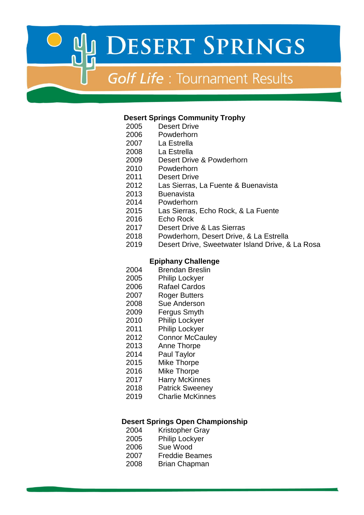# **Golf Life: Tournament Results**

#### **Desert Springs Community Trophy**

- 2005 Desert Drive<br>2006 Powderhorn
- Powderhorn
- La Estrella
- La Estrella
- Desert Drive & Powderhorn
- Powderhorn
- Desert Drive
- Las Sierras, La Fuente & Buenavista
- Buenavista
- Powderhorn
- 2015 Las Sierras, Echo Rock, & La Fuente
- 2016 Echo Rock<br>2017 Desert Driv
- Desert Drive & Las Sierras
- Powderhorn, Desert Drive, & La Estrella
- Desert Drive, Sweetwater Island Drive, & La Rosa

#### **Epiphany Challenge**

- Brendan Breslin
- Philip Lockyer
- Rafael Cardos
- Roger Butters
- Sue Anderson
- Fergus Smyth
- Philip Lockyer
- Philip Lockyer
- 2012 Connor McCauley
- Anne Thorpe
- Paul Taylor
- Mike Thorpe
- Mike Thorpe
- Harry McKinnes
- Patrick Sweeney
- Charlie McKinnes

#### **Desert Springs Open Championship**

- Kristopher Gray
- Philip Lockyer
- Sue Wood
- Freddie Beames
- Brian Chapman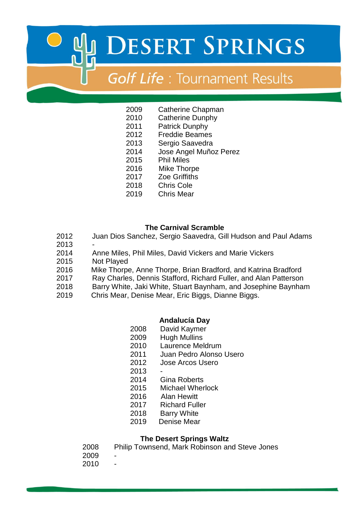# **Golf Life: Tournament Results**

- Catherine Chapman
- Catherine Dunphy
- Patrick Dunphy
- Freddie Beames
- Sergio Saavedra
- Jose Angel Muñoz Perez
- Phil Miles
- 2016 Mike Thorpe
- Zoe Griffiths
- Chris Cole
- Chris Mear

### **The Carnival Scramble**

- Juan Dios Sanchez, Sergio Saavedra, Gill Hudson and Paul Adams
- 
- Anne Miles, Phil Miles, David Vickers and Marie Vickers
- Not Played
- 2016 Mike Thorpe, Anne Thorpe, Brian Bradford, and Katrina Bradford
- Ray Charles, Dennis Stafford, Richard Fuller, and Alan Patterson
- Barry White, Jaki White, Stuart Baynham, and Josephine Baynham
- 2019 Chris Mear, Denise Mear, Eric Biggs, Dianne Biggs.

## **Andalucía Day**

- David Kaymer
- Hugh Mullins
- Laurence Meldrum
- Juan Pedro Alonso Usero
- Jose Arcos Usero
- -
- Gina Roberts
- Michael Wherlock
- 2016 Alan Hewitt
- Richard Fuller
- Barry White
- 2019 Denise Mear

## **The Desert Springs Waltz**

- Philip Townsend, Mark Robinson and Steve Jones
- -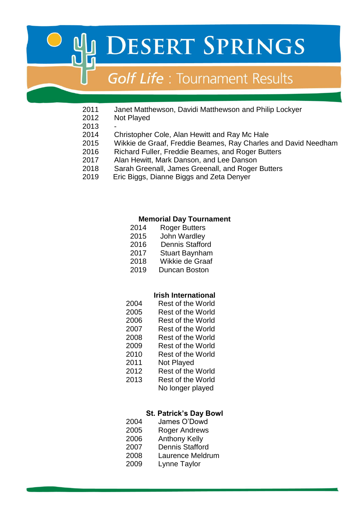# **Golf Life: Tournament Results**

- 2011 Janet Matthewson, Davidi Matthewson and Philip Lockyer<br>2012 Not Plaved
	- **Not Played**
- 
- Christopher Cole, Alan Hewitt and Ray Mc Hale
- Wikkie de Graaf, Freddie Beames, Ray Charles and David Needham
- Richard Fuller, Freddie Beames, and Roger Butters
- Alan Hewitt, Mark Danson, and Lee Danson
- Sarah Greenall, James Greenall, and Roger Butters
- 2019 Eric Biggs, Dianne Biggs and Zeta Denyer

#### **Memorial Day Tournament**

- Roger Butters
- John Wardley
- 2016 Dennis Stafford
- Stuart Baynham
- Wikkie de Graaf
- 2019 Duncan Boston

#### **Irish International**

| 2004 | Rest of the World |
|------|-------------------|
| 2005 | Rest of the World |
| 2006 | Rest of the World |
| 2007 | Rest of the World |

- 
- Rest of the World
- Rest of the World
- Rest of the World
- Not Played
- Rest of the World
- Rest of the World
	- No longer played

#### **St. Patrick's Day Bowl**

- James O'Dowd
- Roger Andrews
- Anthony Kelly
- Dennis Stafford
- Laurence Meldrum
- Lynne Taylor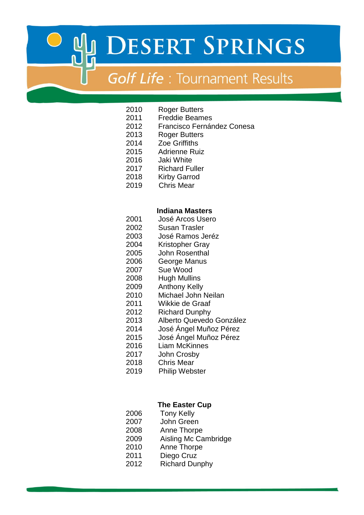# **Golf Life: Tournament Results**

- Roger Butters
- Freddie Beames
- Francisco Fernández Conesa
- Roger Butters
- Zoe Griffiths
- Adrienne Ruiz
- Jaki White
- Richard Fuller
- Kirby Garrod
- 2019 Chris Mear

### **Indiana Masters**

- José Arcos Usero
- Susan Trasler
- José Ramos Jeréz
- Kristopher Gray
- John Rosenthal
- George Manus
- Sue Wood
- Hugh Mullins
- Anthony Kelly
- Michael John Neilan
- Wikkie de Graaf
- Richard Dunphy
- Alberto Quevedo González
- José Ángel Muñoz Pérez
- José Ángel Muñoz Pérez
- Liam McKinnes
- John Crosby
- Chris Mear
- 2019 Philip Webster

## **The Easter Cup**

- Tony Kelly
- John Green
- 2008 Anne Thorpe
- Aisling Mc Cambridge
- Anne Thorpe
	- Diego Cruz
- Richard Dunphy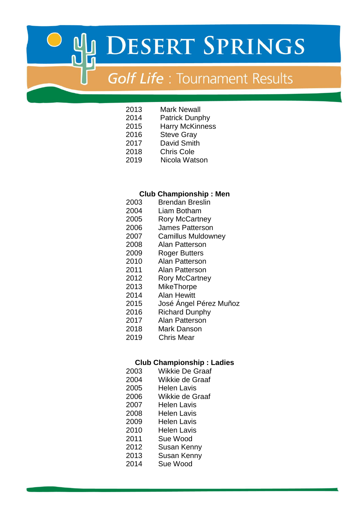# **Golf Life**: Tournament Results

- 2013 Mark Newall<br>2014 Patrick Dunp
- Patrick Dunphy
- Harry McKinness
- Steve Gray
- David Smith
- Chris Cole
- 2019 Nicola Watson

#### **Club Championship : Men**

- Brendan Breslin
- Liam Botham
- Rory McCartney
- James Patterson
- Camillus Muldowney
- Alan Patterson
- Roger Butters
- Alan Patterson
- Alan Patterson
- Rory McCartney
- MikeThorpe
- Alan Hewitt
- José Ángel Pérez Muñoz
- Richard Dunphy
- Alan Patterson
- Mark Danson
- 2019 Chris Mear

#### **Club Championship : Ladies**

| 2003 | <b>Wikkie De Graaf</b> |
|------|------------------------|
| 2004 | Wikkie de Graaf        |
| 2005 | Helen Lavis            |
| 2006 | Wikkie de Graaf        |
| 2007 | Helen Lavis            |
| 2008 | Helen Lavis            |
| 2009 | Helen Lavis            |
| 2010 | Helen Lavis            |
| 2011 | Sue Wood               |
| 2012 | Susan Kenny            |
| 2013 | <b>Susan Kenny</b>     |
| 2014 | Sue Wood               |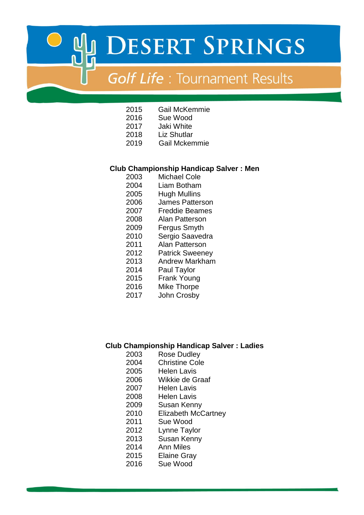# **Golf Life: Tournament Results**

- Gail McKemmie
- Sue Wood
- Jaki White
- Liz Shutlar
- 2019 Gail Mckemmie

#### **Club Championship Handicap Salver : Men**

- 2003 Michael Cole<br>2004 Liam Botham
- Liam Botham
- Hugh Mullins
- James Patterson
- Freddie Beames
- Alan Patterson
- Fergus Smyth
- Sergio Saavedra
- Alan Patterson
- Patrick Sweeney
- Andrew Markham
- Paul Taylor
- Frank Young
- Mike Thorpe
- John Crosby

### **Club Championship Handicap Salver : Ladies**

- Rose Dudley
- Christine Cole
- Helen Lavis
- Wikkie de Graaf
- Helen Lavis
- Helen Lavis
- Susan Kenny
- Elizabeth McCartney
- Sue Wood
- Lynne Taylor
- Susan Kenny
- Ann Miles
- Elaine Gray
- Sue Wood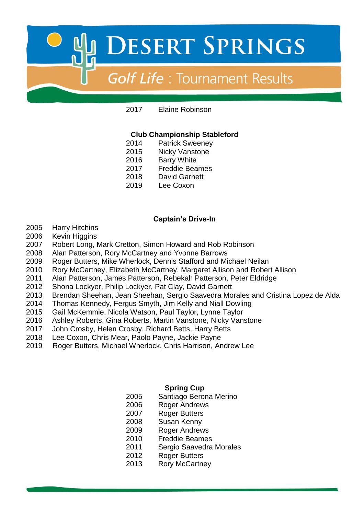

Elaine Robinson

### **Club Championship Stableford**

- Patrick Sweeney
- Nicky Vanstone
- Barry White
- Freddie Beames
- David Garnett
- 2019 Lee Coxon

### **Captain's Drive-In**

- Harry Hitchins
- Kevin Higgins
- Robert Long, Mark Cretton, Simon Howard and Rob Robinson
- Alan Patterson, Rory McCartney and Yvonne Barrows
- Roger Butters, Mike Wherlock, Dennis Stafford and Michael Neilan
- Rory McCartney, Elizabeth McCartney, Margaret Allison and Robert Allison
- Alan Patterson, James Patterson, Rebekah Patterson, Peter Eldridge
- Shona Lockyer, Philip Lockyer, Pat Clay, David Garnett
- Brendan Sheehan, Jean Sheehan, Sergio Saavedra Morales and Cristina Lopez de Alda
- Thomas Kennedy, Fergus Smyth, Jim Kelly and Niall Dowling
- Gail McKemmie, Nicola Watson, Paul Taylor, Lynne Taylor
- Ashley Roberts, Gina Roberts, Martin Vanstone, Nicky Vanstone
- John Crosby, Helen Crosby, Richard Betts, Harry Betts
- Lee Coxon, Chris Mear, Paolo Payne, Jackie Payne
- 2019 Roger Butters, Michael Wherlock, Chris Harrison, Andrew Lee

# **Spring Cup**

- Santiago Berona Merino
- Roger Andrews
- Roger Butters
- Susan Kenny
- 2009 Roger Andrews
- Freddie Beames
- Sergio Saavedra Morales
- Roger Butters
- Rory McCartney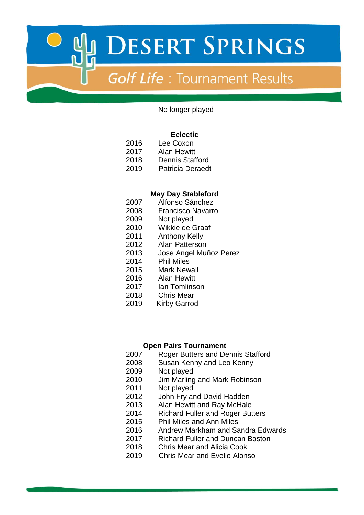

No longer played

#### **Eclectic**

- Lee Coxon
- Alan Hewitt
- Dennis Stafford
- 2019 Patricia Deraedt

#### **May Day Stableford**

- Alfonso Sánchez
- Francisco Navarro
- Not played
- Wikkie de Graaf
- Anthony Kelly
- Alan Patterson
- Jose Angel Muñoz Perez
- Phil Miles
- Mark Newall
- Alan Hewitt
- Ian Tomlinson
- Chris Mear
- 2019 Kirby Garrod

#### **Open Pairs Tournament**

- Roger Butters and Dennis Stafford
- Susan Kenny and Leo Kenny
- Not played
- Jim Marling and Mark Robinson
- Not played
- John Fry and David Hadden
- Alan Hewitt and Ray McHale
- Richard Fuller and Roger Butters
- Phil Miles and Ann Miles
- Andrew Markham and Sandra Edwards
- Richard Fuller and Duncan Boston
- Chris Mear and Alicia Cook
- 2019 Chris Mear and Evelio Alonso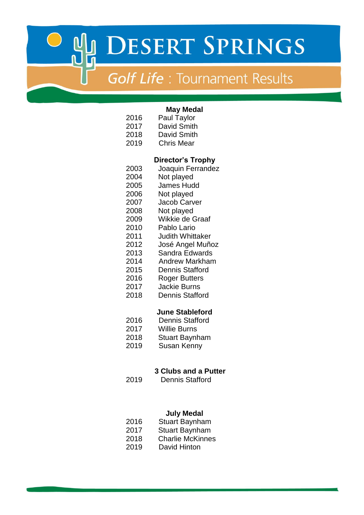# **Golf Life**: Tournament Results

| 2016<br>2017<br>2018<br>2019                                                                                                 | <b>May Medal</b><br><b>Paul Taylor</b><br><b>David Smith</b><br>David Smith<br><b>Chris Mear</b>                                                                                                                                                                                                                                                            |
|------------------------------------------------------------------------------------------------------------------------------|-------------------------------------------------------------------------------------------------------------------------------------------------------------------------------------------------------------------------------------------------------------------------------------------------------------------------------------------------------------|
| 2003<br>2004<br>2005<br>2006<br>2007<br>2008<br>2009<br>2010<br>2011<br>2012<br>2013<br>2014<br>2015<br>2016<br>2017<br>2018 | <b>Director's Trophy</b><br>Joaquin Ferrandez<br>Not played<br><b>James Hudd</b><br>Not played<br><b>Jacob Carver</b><br>Not played<br>Wikkie de Graaf<br>Pablo Lario<br><b>Judith Whittaker</b><br>José Angel Muñoz<br>Sandra Edwards<br><b>Andrew Markham</b><br><b>Dennis Stafford</b><br><b>Roger Butters</b><br><b>Jackie Burns</b><br>Dennis Stafford |
| 2016<br>2017<br>2018<br>2019<br>2019                                                                                         | <b>June Stableford</b><br><b>Dennis Stafford</b><br><b>Willie Burns</b><br><b>Stuart Baynham</b><br><b>Susan Kenny</b><br><b>3 Clubs and a Putter</b><br>Dennis Stafford                                                                                                                                                                                    |

# **July Medal**

| 2016 | <b>Stuart Baynham</b> |
|------|-----------------------|
|------|-----------------------|

- Stuart Baynham
- Charlie McKinnes
- 2019 David Hinton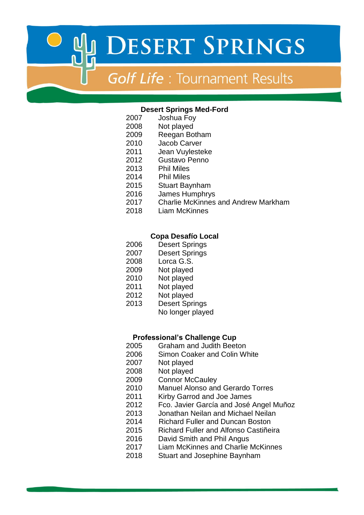# **Golf Life: Tournament Results**

#### **Desert Springs Med-Ford**

- Joshua Foy
- Not played
- Reegan Botham
- Jacob Carver
- Jean Vuylesteke
- Gustavo Penno
- Phil Miles
- 2014 Phil Miles
- 2015 Stuart Baynham
- James Humphrys
- Charlie McKinnes and Andrew Markham
- Liam McKinnes

#### **Copa Desafío Local**

- Desert Springs
- Desert Springs
- Lorca G.S.
- Not played
- Not played
- Not played
- Not played
- Desert Springs
	- No longer played

#### **Professional's Challenge Cup**

- Graham and Judith Beeton
- Simon Coaker and Colin White
- Not played
- Not played
- Connor McCauley
- Manuel Alonso and Gerardo Torres
- Kirby Garrod and Joe James
- Fco. Javier García and José Angel Muñoz
	- Jonathan Neilan and Michael Neilan
	- 2014 Richard Fuller and Duncan Boston
	- 2015 Richard Fuller and Alfonso Castiñeira
	- David Smith and Phil Angus
- Liam McKinnes and Charlie McKinnes
- Stuart and Josephine Baynham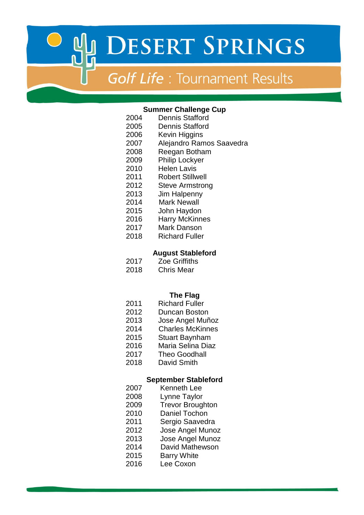# **Golf Life: Tournament Results**

#### **Summer Challenge Cup**

- Dennis Stafford
- Dennis Stafford
- Kevin Higgins
- Alejandro Ramos Saavedra
- Reegan Botham
- Philip Lockyer
- Helen Lavis
- Robert Stillwell
- Steve Armstrong
- Jim Halpenny
- 2014 Mark Newall
- John Haydon
- Harry McKinnes
- Mark Danson
- Richard Fuller

#### **August Stableford**

- Zoe Griffiths
- Chris Mear

### **The Flag**

- Richard Fuller
- Duncan Boston
- Jose Angel Muñoz
- 2014 Charles McKinnes
- Stuart Baynham
- Maria Selina Diaz
- Theo Goodhall
- David Smith

#### **September Stableford**

- Kenneth Lee
- Lynne Taylor
- Trevor Broughton
	- Daniel Tochon
	- Sergio Saavedra
	- Jose Angel Munoz
	- Jose Angel Munoz
- 2014 David Mathewson
- Barry White
- Lee Coxon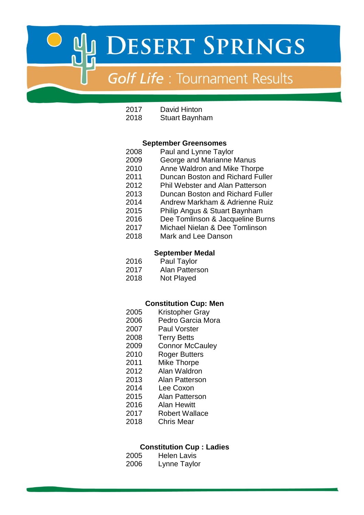# **Golf Life: Tournament Results**

| 2017 | David Hinton          |
|------|-----------------------|
| 2018 | <b>Stuart Baynham</b> |

#### **September Greensomes**

- Paul and Lynne Taylor George and Marianne Manus Anne Waldron and Mike Thorpe Duncan Boston and Richard Fuller Phil Webster and Alan Patterson Duncan Boston and Richard Fuller
- 2014 Andrew Markham & Adrienne Ruiz
- Philip Angus & Stuart Baynham
- Dee Tomlinson & Jacqueline Burns
- Michael Nielan & Dee Tomlinson
- Mark and Lee Danson

#### **September Medal**

- Paul Taylor
- Alan Patterson
- Not Played

#### **Constitution Cup: Men**

- Kristopher Gray
- Pedro Garcia Mora
- Paul Vorster
- Terry Betts
- Connor McCauley
- Roger Butters
- Mike Thorpe
- Alan Waldron
- Alan Patterson
- 2014 Lee Coxon
- Alan Patterson
- Alan Hewitt
- Robert Wallace
- Chris Mear

#### **Constitution Cup : Ladies**

| 2005 | <b>Helen Lavis</b> |
|------|--------------------|
| 2006 | Lynne Taylor       |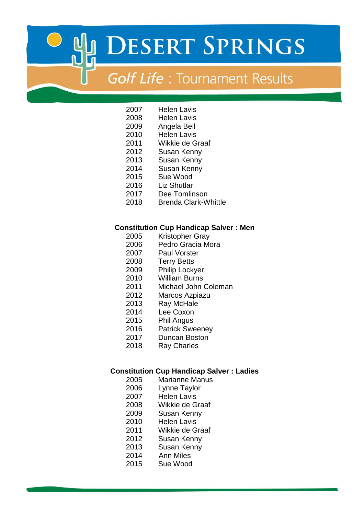# **Golf Life**: Tournament Results

- Helen Lavis
- Helen Lavis
- Angela Bell Helen Lavis
- 
- Wikkie de Graaf
- Susan Kenny
- Susan Kenny
- 2014 Susan Kenny
- Sue Wood
- 2016 Liz Shutlar<br>2017 Dee Tomlir
- 2017 Dee Tomlinson<br>2018 Brenda Clark-W
- **Brenda Clark-Whittle**

### **Constitution Cup Handicap Salver : Men**

- 2005 Kristopher Gray<br>2006 Pedro Gracia Mo
- Pedro Gracia Mora
- Paul Vorster
- Terry Betts
- Philip Lockyer
- William Burns
- Michael John Coleman
- Marcos Azpiazu
- Ray McHale
- 2014 Lee Coxon
- Phil Angus
- Patrick Sweeney
- Duncan Boston
- Ray Charles

### **Constitution Cup Handicap Salver : Ladies**

- Marianne Manus
- Lynne Taylor
- Helen Lavis
- Wikkie de Graaf
- Susan Kenny
- Helen Lavis
- Wikkie de Graaf
- Susan Kenny
- Susan Kenny
- 2014 Ann Miles
- Sue Wood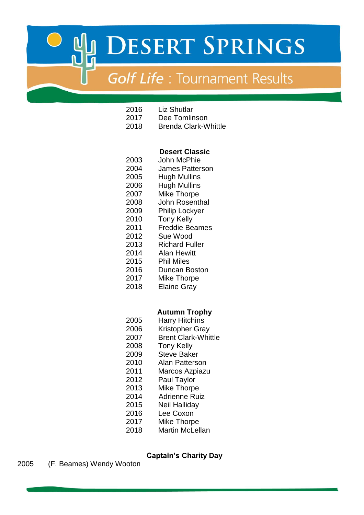# **Golf Life: Tournament Results**

- Liz Shutlar
- Dee Tomlinson
- Brenda Clark-Whittle

### **Desert Classic**

- John McPhie James Patterson
- Hugh Mullins
- Hugh Mullins
- Mike Thorpe
- John Rosenthal
- Philip Lockyer
- Tony Kelly
- Freddie Beames
- Sue Wood
- Richard Fuller
- 2014 Alan Hewitt
- Phil Miles
- Duncan Boston
- Mike Thorpe
- Elaine Gray

### **Autumn Trophy**

- Harry Hitchins
- Kristopher Gray
- Brent Clark-Whittle
- Tony Kelly
- Steve Baker
- Alan Patterson
- Marcos Azpiazu
- Paul Taylor
- Mike Thorpe
- 2014 Adrienne Ruiz
- Neil Halliday
- Lee Coxon
- Mike Thorpe
- Martin McLellan

## **Captain's Charity Day**

(F. Beames) Wendy Wooton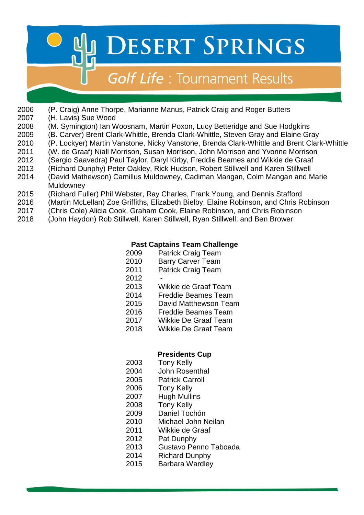# **Golf Life: Tournament Results**

- (P. Craig) Anne Thorpe, Marianne Manus, Patrick Craig and Roger Butters
- (H. Lavis) Sue Wood
- (M. Symington) Ian Woosnam, Martin Poxon, Lucy Betteridge and Sue Hodgkins
- (B. Carver) Brent Clark-Whittle, Brenda Clark-Whittle, Steven Gray and Elaine Gray
- (P. Lockyer) Martin Vanstone, Nicky Vanstone, Brenda Clark-Whittle and Brent Clark-Whittle
- (W. de Graaf) Niall Morrison, Susan Morrison, John Morrison and Yvonne Morrison
- (Sergio Saavedra) Paul Taylor, Daryl Kirby, Freddie Beames and Wikkie de Graaf
- 2013 (Richard Dunphy) Peter Oakley, Rick Hudson, Robert Stillwell and Karen Stillwell
- (David Mathewson) Camillus Muldowney, Cadiman Mangan, Colm Mangan and Marie **Muldowney**
- (Richard Fuller) Phil Webster, Ray Charles, Frank Young, and Dennis Stafford
- (Martin McLellan) Zoe Griffiths, Elizabeth Bielby, Elaine Robinson, and Chris Robinson
- (Chris Cole) Alicia Cook, Graham Cook, Elaine Robinson, and Chris Robinson
- (John Haydon) Rob Stillwell, Karen Stillwell, Ryan Stillwell, and Ben Brower

# **Past Captains Team Challenge**

- 2009 Patrick Craig Team
- Barry Carver Team
- Patrick Craig Team
- 
- Wikkie de Graaf Team
- Freddie Beames Team
- David Matthewson Team
- Freddie Beames Team
- Wikkie De Graaf Team
- Wikkie De Graaf Team

## **Presidents Cup**

- Tony Kelly
- John Rosenthal
- Patrick Carroll
- Tony Kelly
- Hugh Mullins
- Tony Kelly
- Daniel Tochón
- Michael John Neilan
- Wikkie de Graaf
- Pat Dunphy
- Gustavo Penno Taboada
- Richard Dunphy
- 2015 Barbara Wardley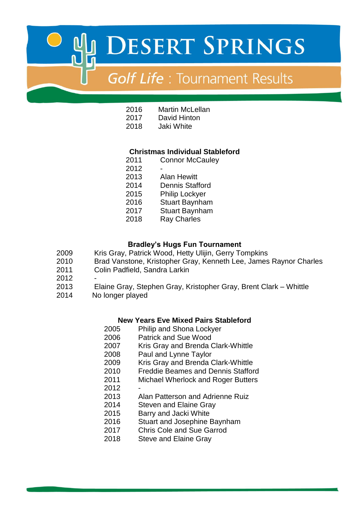# **Golf Life: Tournament Results**

- Martin McLellan
- David Hinton
- Jaki White

### **Christmas Individual Stableford**

- Connor McCauley
- Alan Hewitt Dennis Stafford 2015 Philip Lockyer Stuart Baynham
- Stuart Baynham
- Ray Charles

### **Bradley's Hugs Fun Tournament**

- Kris Gray, Patrick Wood, Hetty Ulijin, Gerry Tompkins
- Brad Vanstone, Kristopher Gray, Kenneth Lee, James Raynor Charles
- Colin Padfield, Sandra Larkin
- 
- Elaine Gray, Stephen Gray, Kristopher Gray, Brent Clark Whittle
- No longer played

### **New Years Eve Mixed Pairs Stableford**

- Philip and Shona Lockyer
- Patrick and Sue Wood
- 2007 Kris Gray and Brenda Clark-Whittle
- Paul and Lynne Taylor
- Kris Gray and Brenda Clark-Whittle
- Freddie Beames and Dennis Stafford
- Michael Wherlock and Roger Butters
- 
- Alan Patterson and Adrienne Ruiz
- Steven and Elaine Gray
- Barry and Jacki White
- Stuart and Josephine Baynham
- Chris Cole and Sue Garrod
- Steve and Elaine Gray